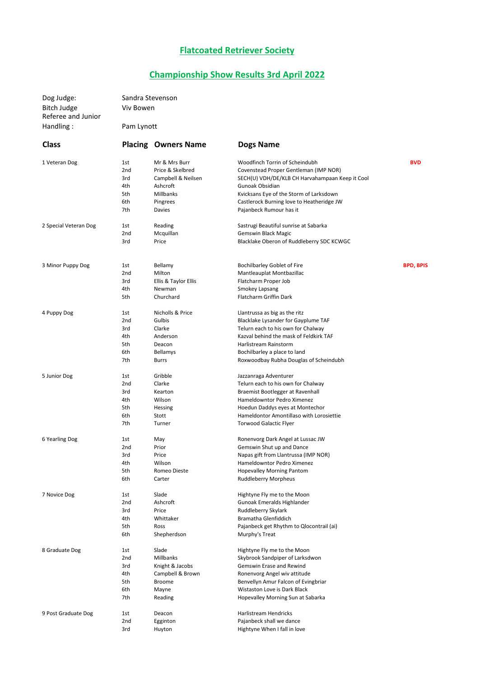## Flatcoated Retriever Society

## Championship Show Results 3rd April 2022

| Dog Judge:                               | Sandra Stevenson<br>Viv Bowen<br>Pam Lynott |                            |                                                                        |                  |  |
|------------------------------------------|---------------------------------------------|----------------------------|------------------------------------------------------------------------|------------------|--|
| <b>Bitch Judge</b><br>Referee and Junior |                                             |                            |                                                                        |                  |  |
| Handling:                                |                                             |                            |                                                                        |                  |  |
| <b>Class</b>                             |                                             | <b>Placing Owners Name</b> | <b>Dogs Name</b>                                                       |                  |  |
| 1 Veteran Dog                            | 1st                                         | Mr & Mrs Burr              | Woodfinch Torrin of Scheindubh                                         | <b>BVD</b>       |  |
|                                          | 2nd                                         | Price & Skelbred           | Covenstead Proper Gentleman (IMP NOR)                                  |                  |  |
|                                          | 3rd                                         | Campbell & Neilsen         | SECH(U) VDH/DE/KLB CH Harvahampaan Keep it Cool                        |                  |  |
|                                          | 4th                                         | Ashcroft                   | Gunoak Obsidian                                                        |                  |  |
|                                          | 5th                                         | Millbanks                  | Kvicksans Eye of the Storm of Larksdown                                |                  |  |
|                                          | 6th                                         | Pingrees                   | Castlerock Burning love to Heatheridge JW                              |                  |  |
|                                          | 7th                                         | Davies                     | Pajanbeck Rumour has it                                                |                  |  |
| 2 Special Veteran Dog                    | 1st                                         | Reading                    | Sastrugi Beautiful sunrise at Sabarka                                  |                  |  |
|                                          | 2nd                                         | Mcquillan                  | Gemswin Black Magic                                                    |                  |  |
|                                          | 3rd                                         | Price                      | Blacklake Oberon of Ruddleberry SDC KCWGC                              |                  |  |
| 3 Minor Puppy Dog                        | 1st                                         | Bellamy                    | Bochilbarley Goblet of Fire                                            | <b>BPD, BPIS</b> |  |
|                                          | 2nd                                         | Milton                     | Mantleauplat Montbazillac                                              |                  |  |
|                                          | 3rd                                         | Ellis & Taylor Ellis       | Flatcharm Proper Job                                                   |                  |  |
|                                          | 4th                                         | Newman                     | Smokey Lapsang                                                         |                  |  |
|                                          | 5th                                         | Churchard                  | Flatcharm Griffin Dark                                                 |                  |  |
| 4 Puppy Dog                              | 1st                                         | Nicholls & Price           | Llantrussa as big as the ritz                                          |                  |  |
|                                          | 2nd                                         | Gulbis                     | Blacklake Lysander for Gayplume TAF                                    |                  |  |
|                                          | 3rd                                         | Clarke                     | Telurn each to his own for Chalway                                     |                  |  |
|                                          | 4th                                         | Anderson                   | Kazval behind the mask of Feldkirk TAF                                 |                  |  |
|                                          | 5th                                         | Deacon                     | Harlistream Rainstorm                                                  |                  |  |
|                                          | 6th<br>7th                                  | Bellamys<br><b>Burrs</b>   | Bochilbarley a place to land<br>Roxwoodbay Rubha Douglas of Scheindubh |                  |  |
| 5 Junior Dog                             | 1st                                         | Gribble                    | Jazzanraga Adventurer                                                  |                  |  |
|                                          | 2nd                                         | Clarke                     | Telurn each to his own for Chalway                                     |                  |  |
|                                          | 3rd                                         | Kearton                    | Braemist Bootlegger at Ravenhall                                       |                  |  |
|                                          | 4th                                         | Wilson                     | Hameldowntor Pedro Ximenez                                             |                  |  |
|                                          | 5th                                         | Hessing                    | Hoedun Daddys eyes at Montechor                                        |                  |  |
|                                          | 6th                                         | Stott                      | Hameldontor Amontillaso with Lorosiettie                               |                  |  |
|                                          | 7th                                         | Turner                     | <b>Torwood Galactic Flyer</b>                                          |                  |  |
| 6 Yearling Dog                           | 1st                                         | May                        | Ronenvorg Dark Angel at Lussac JW                                      |                  |  |
|                                          | 2nd                                         | Prior                      | Gemswin Shut up and Dance                                              |                  |  |
|                                          | 3rd                                         | Price                      | Napas gift from Llantrussa (IMP NOR)                                   |                  |  |
|                                          | 4th<br>5th                                  | Wilson                     | Hameldowntor Pedro Ximenez                                             |                  |  |
|                                          | 6th                                         | Romeo Dieste<br>Carter     | <b>Hopevalley Morning Pantom</b><br><b>Ruddleberry Morpheus</b>        |                  |  |
| 7 Novice Dog                             | 1st                                         | Slade                      | Hightyne Fly me to the Moon                                            |                  |  |
|                                          | 2nd                                         | Ashcroft                   | Gunoak Emeralds Highlander                                             |                  |  |
|                                          | 3rd                                         | Price                      | Ruddleberry Skylark                                                    |                  |  |
|                                          | 4th                                         | Whittaker                  | Bramatha Glenfiddich                                                   |                  |  |
|                                          | 5th                                         | Ross                       | Pajanbeck get Rhythm to Qlocontrail (ai)                               |                  |  |
|                                          | 6th                                         | Shepherdson                | Murphy's Treat                                                         |                  |  |
| 8 Graduate Dog                           | 1st                                         | Slade                      | Hightyne Fly me to the Moon                                            |                  |  |
|                                          | 2nd                                         | Millbanks                  | Skybrook Sandpiper of Larksdwon                                        |                  |  |
|                                          | 3rd                                         | Knight & Jacobs            | Gemswin Erase and Rewind                                               |                  |  |
|                                          | 4th<br>5th                                  | Campbell & Brown<br>Broome | Ronenvorg Angel wiv attitude<br>Benvellyn Amur Falcon of Evingbriar    |                  |  |
|                                          | 6th                                         | Mayne                      | Wistaston Love is Dark Black                                           |                  |  |
|                                          | 7th                                         | Reading                    | Hopevalley Morning Sun at Sabarka                                      |                  |  |
| 9 Post Graduate Dog                      | 1st                                         | Deacon                     | Harlistream Hendricks                                                  |                  |  |
|                                          | 2nd                                         | Egginton                   | Pajanbeck shall we dance                                               |                  |  |
|                                          | 3rd                                         | Huyton                     | Hightyne When I fall in love                                           |                  |  |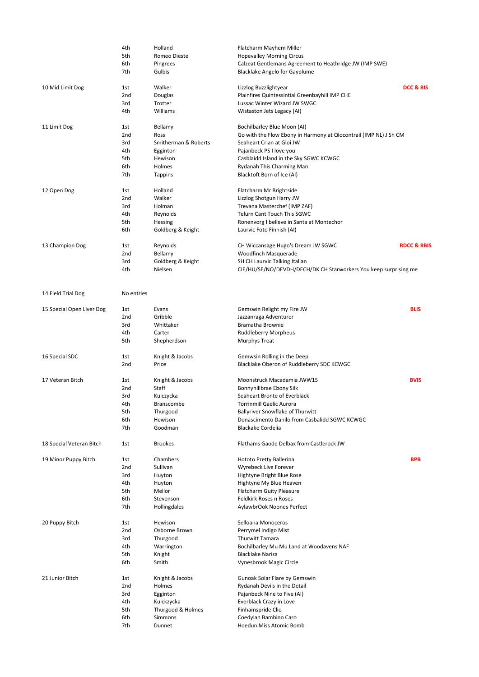|                           | 4th        | Holland              | Flatcharm Mayhem Miller                                           |                        |
|---------------------------|------------|----------------------|-------------------------------------------------------------------|------------------------|
|                           | 5th        | Romeo Dieste         | <b>Hopevalley Morning Circus</b>                                  |                        |
|                           | 6th        | Pingrees             | Calzeat Gentlemans Agreement to Heathridge JW (IMP SWE)           |                        |
|                           | 7th        | Gulbis               | <b>Blacklake Angelo for Gayplume</b>                              |                        |
|                           |            |                      |                                                                   |                        |
| 10 Mid Limit Dog          | 1st        | Walker               | Lizzlog Buzzlightyear                                             | DCC & BIS              |
|                           | 2nd        | Douglas              | Plainfires Quintessintial Greenbayhill IMP CHE                    |                        |
|                           | 3rd        | Trotter              | Lussac Winter Wizard JW SWGC                                      |                        |
|                           | 4th        | Williams             | Wistaston Jets Legacy (AI)                                        |                        |
|                           |            |                      |                                                                   |                        |
| 11 Limit Dog              | 1st        | Bellamy              | Bochilbarley Blue Moon (AI)                                       |                        |
|                           | 2nd        | Ross                 | Go with the Flow Ebony in Harmony at Qlocontrail (IMP NL) J Sh CM |                        |
|                           | 3rd        | Smitherman & Roberts | Seaheart Crian at Gloi JW                                         |                        |
|                           | 4th        | Egginton             | Pajanbeck PS I love you                                           |                        |
|                           | 5th        | Hewison              | Casblaidd Island in the Sky SGWC KCWGC                            |                        |
|                           | 6th        | Holmes               | Rydanah This Charming Man                                         |                        |
|                           | 7th        | Tappins              | Blacktoft Born of Ice (AI)                                        |                        |
|                           |            |                      |                                                                   |                        |
| 12 Open Dog               | 1st        | Holland              | Flatcharm Mr Brightside                                           |                        |
|                           | 2nd        | Walker               | Lizzlog Shotgun Harry JW                                          |                        |
|                           | 3rd        | Holman               | Trevana Masterchef (IMP ZAF)                                      |                        |
|                           | 4th        | Reynolds             | Telurn Cant Touch This SGWC                                       |                        |
|                           | 5th        | Hessing              | Ronenvorg I believe in Santa at Montechor                         |                        |
|                           | 6th        | Goldberg & Keight    | Laurvic Foto Finnish (AI)                                         |                        |
|                           |            |                      |                                                                   |                        |
| 13 Champion Dog           | 1st        | Reynolds             | CH Wiccansage Hugo's Dream JW SGWC                                | <b>RDCC &amp; RBIS</b> |
|                           | 2nd        | Bellamy              | Woodfinch Masquerade                                              |                        |
|                           | 3rd        | Goldberg & Keight    | SH CH Laurvic Talking Italian                                     |                        |
|                           | 4th        | Nielsen              | CIE/HU/SE/NO/DEVDH/DECH/DK CH Starworkers You keep surprising me  |                        |
|                           |            |                      |                                                                   |                        |
| 14 Field Trial Dog        | No entries |                      |                                                                   |                        |
|                           |            |                      |                                                                   |                        |
| 15 Special Open Liver Dog | 1st        | Evans                | Gemswin Relight my Fire JW                                        | <b>BLIS</b>            |
|                           | 2nd        | Gribble              | Jazzanraga Adventurer                                             |                        |
|                           | 3rd        | Whittaker            | Bramatha Brownie                                                  |                        |
|                           | 4th        | Carter               | Ruddleberry Morpheus                                              |                        |
|                           | 5th        | Shepherdson          | <b>Murphys Treat</b>                                              |                        |
|                           |            |                      |                                                                   |                        |
| 16 Special SDC            | 1st        | Knight & Jacobs      | Gemwsin Rolling in the Deep                                       |                        |
|                           | 2nd        | Price                | Blacklake Oberon of Ruddleberry SDC KCWGC                         |                        |
|                           |            |                      |                                                                   |                        |
| 17 Veteran Bitch          | 1st        | Knight & Jacobs      | Moonstruck Macadamia JWW15                                        | <b>BVIS</b>            |
|                           | 2nd        | Staff                | Bonnyhillbrae Ebony Silk                                          |                        |
|                           | 3rd        | Kulczycka            | Seaheart Bronte of Everblack                                      |                        |
|                           | 4th        | Branscombe           | <b>Torrinmill Gaelic Aurora</b>                                   |                        |
|                           | 5th        | Thurgood             | Ballyriver Snowflake of Thurwitt                                  |                        |
|                           | 6th        | Hewison              | Donascimento Danilo from Casbalidd SGWC KCWGC                     |                        |
|                           | 7th        | Goodman              | <b>Blackake Cordelia</b>                                          |                        |
|                           |            |                      |                                                                   |                        |
| 18 Special Veteran Bitch  | 1st        | <b>Brookes</b>       | Flathams Gaode Delbax from Castlerock JW                          |                        |
| 19 Minor Puppy Bitch      | 1st        | Chambers             | Hototo Pretty Ballerina                                           | <b>BPB</b>             |
|                           | 2nd        | Sullivan             | Wyrebeck Live Forever                                             |                        |
|                           | 3rd        | Huyton               | Hightyne Bright Blue Rose                                         |                        |
|                           |            |                      |                                                                   |                        |
|                           | 4th        | Huyton               | Hightyne My Blue Heaven                                           |                        |
|                           | 5th        | Mellor               | Flatcharm Guity Pleasure                                          |                        |
|                           | 6th        | Stevenson            | Feldkirk Roses n Roses                                            |                        |
|                           | 7th        | Hollingdales         | AylawbrOok Noones Perfect                                         |                        |
| 20 Puppy Bitch            | 1st        | Hewison              | Selloana Monoceros                                                |                        |
|                           | 2nd        | Osborne Brown        | Perrymel Indigo Mist                                              |                        |
|                           | 3rd        | Thurgood             | Thurwitt Tamara                                                   |                        |
|                           | 4th        |                      |                                                                   |                        |
|                           |            | Warrington           | Bochilbarley Mu Mu Land at Woodavens NAF                          |                        |
|                           | 5th<br>6th | Knight<br>Smith      | <b>Blacklake Narisa</b><br>Vynesbrook Magic Circle                |                        |
|                           |            |                      |                                                                   |                        |
| 21 Junior Bitch           | 1st        | Knight & Jacobs      | Gunoak Solar Flare by Gemswin                                     |                        |
|                           | 2nd        | Holmes               | Rydanah Devils in the Detail                                      |                        |
|                           | 3rd        | Egginton             | Pajanbeck Nine to Five (AI)                                       |                        |
|                           | 4th        | Kulckzycka           | Everblack Crazy in Love                                           |                        |
|                           | 5th        | Thurgood & Holmes    | Finhamspride Clio                                                 |                        |
|                           | 6th        | Simmons              | Coedylan Bambino Caro                                             |                        |
|                           | 7th        | Dunnet               | Hoedun Miss Atomic Bomb                                           |                        |
|                           |            |                      |                                                                   |                        |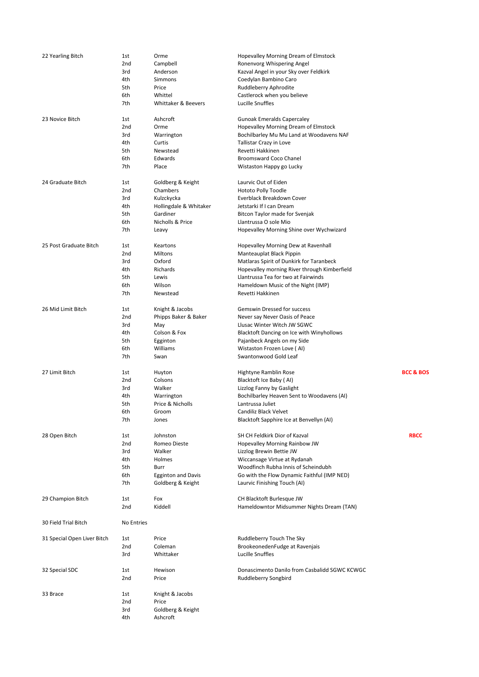| 22 Yearling Bitch           | 1st             | Orme                      | Hopevalley Morning Dream of Elmstock                              |                      |
|-----------------------------|-----------------|---------------------------|-------------------------------------------------------------------|----------------------|
|                             | 2nd             | Campbell                  | Ronenvorg Whispering Angel                                        |                      |
|                             | 3rd             | Anderson                  | Kazval Angel in your Sky over Feldkirk                            |                      |
|                             | 4th             | Simmons                   | Coedylan Bambino Caro                                             |                      |
|                             | 5th             | Price                     | Ruddleberry Aphrodite                                             |                      |
|                             | 6th             | Whittel                   | Castlerock when you believe                                       |                      |
|                             | 7th             | Whittaker & Beevers       | Lucille Snuffles                                                  |                      |
| 23 Novice Bitch             | 1st             | Ashcroft                  | <b>Gunoak Emeralds Capercaley</b>                                 |                      |
|                             | 2nd             | Orme                      | Hopevalley Morning Dream of Elmstock                              |                      |
|                             | 3rd             | Warrington                | Bochilbarley Mu Mu Land at Woodavens NAF                          |                      |
|                             | 4th             | Curtis                    | Tallistar Crazy in Love                                           |                      |
|                             | 5th             | Newstead                  | Revetti Hakkinen                                                  |                      |
|                             | 6th             | Edwards                   | Broomsward Coco Chanel                                            |                      |
|                             | 7th             | Place                     | Wistaston Happy go Lucky                                          |                      |
|                             |                 |                           |                                                                   |                      |
| 24 Graduate Bitch           | 1st             | Goldberg & Keight         | Laurvic Out of Eiden                                              |                      |
|                             | 2nd             | Chambers                  | Hototo Polly Toodle                                               |                      |
|                             | 3rd             | Kulzckycka                | Everblack Breakdown Cover                                         |                      |
|                             | 4th             | Hollingdale & Whitaker    | Jetstarki If I can Dream                                          |                      |
|                             | 5th             | Gardiner                  | Bitcon Taylor made for Svenjak                                    |                      |
|                             | 6th             | Nicholls & Price          | Llantrussa O sole Mio                                             |                      |
|                             | 7th             | Leavy                     | Hopevalley Morning Shine over Wychwizard                          |                      |
| 25 Post Graduate Bitch      | 1st             | Keartons                  | Hopevalley Morning Dew at Ravenhall                               |                      |
|                             | 2nd             | Miltons                   | Manteauplat Black Pippin                                          |                      |
|                             | 3rd             | Oxford                    | Matlaras Spirit of Dunkirk for Taranbeck                          |                      |
|                             | 4th             | Richards                  | Hopevalley morning River through Kimberfield                      |                      |
|                             | 5th             | Lewis                     | Llantrussa Tea for two at Fairwinds                               |                      |
|                             | 6th             | Wilson                    | Hameldown Music of the Night (IMP)                                |                      |
|                             | 7th             | Newstead                  | Revetti Hakkinen                                                  |                      |
| 26 Mid Limit Bitch          | 1st             | Knight & Jacobs           | Gemswin Dressed for success                                       |                      |
|                             | 2nd             | Phipps Baker & Baker      | Never say Never Oasis of Peace                                    |                      |
|                             | 3rd             | May                       | Llusac Winter Witch JW SGWC                                       |                      |
|                             | 4th             | Colson & Fox              | Blacktoft Dancing on Ice with Winyhollows                         |                      |
|                             | 5th             | Egginton                  | Pajanbeck Angels on my Side                                       |                      |
|                             | 6th             | Williams                  | Wistaston Frozen Love (AI)                                        |                      |
|                             | 7th             | Swan                      | Swantonwood Gold Leaf                                             |                      |
|                             |                 |                           |                                                                   |                      |
| 27 Limit Bitch              | 1st             | Huyton                    | Hightyne Ramblin Rose                                             | <b>BCC &amp; BOS</b> |
|                             | 2nd             | Colsons                   | Blacktoft Ice Baby (AI)                                           |                      |
|                             | 3rd             | Walker                    | Lizzlog Fanny by Gaslight                                         |                      |
|                             | 4th             | Warrington                | Bochilbarley Heaven Sent to Woodavens (AI)                        |                      |
|                             | 5th             | Price & Nicholls          | Lantrussa Juliet                                                  |                      |
|                             | 6th<br>7th      | Groom<br>Jones            | Candiliz Black Velvet<br>Blacktoft Sapphire Ice at Benvellyn (AI) |                      |
|                             |                 |                           |                                                                   |                      |
| 28 Open Bitch               | 1st             | Johnston                  | SH CH Feldkirk Dior of Kazval                                     | <b>RBCC</b>          |
|                             | 2nd             | Romeo Dieste              | Hopevalley Morning Rainbow JW                                     |                      |
|                             | 3rd             | Walker                    | Lizzlog Brewin Bettie JW                                          |                      |
|                             | 4th             | Holmes                    | Wiccansage Virtue at Rydanah                                      |                      |
|                             | 5th             | Burr                      | Woodfinch Rubha Innis of Scheindubh                               |                      |
|                             | 6th             | <b>Egginton and Davis</b> | Go with the Flow Dynamic Faithful (IMP NED)                       |                      |
|                             | 7th             | Goldberg & Keight         | Laurvic Finishing Touch (AI)                                      |                      |
| 29 Champion Bitch           | 1st             | Fox                       | CH Blacktoft Burlesque JW                                         |                      |
|                             | 2 <sub>nd</sub> | Kiddell                   | Hameldowntor Midsummer Nights Dream (TAN)                         |                      |
| 30 Field Trial Bitch        | No Entries      |                           |                                                                   |                      |
|                             |                 |                           |                                                                   |                      |
| 31 Special Open Liver Bitch | 1st             | Price                     | Ruddleberry Touch The Sky                                         |                      |
|                             | 2nd             | Coleman                   | BrookeonedenFudge at Ravenjais                                    |                      |
|                             | 3rd             | Whittaker                 | Lucille Snuffles                                                  |                      |
| 32 Special SDC              | 1st             | Hewison                   | Donascimento Danilo from Casbalidd SGWC KCWGC                     |                      |
|                             | 2 <sub>nd</sub> | Price                     | Ruddleberry Songbird                                              |                      |
| 33 Brace                    | 1st             | Knight & Jacobs           |                                                                   |                      |
|                             | 2nd             | Price                     |                                                                   |                      |
|                             | 3rd             | Goldberg & Keight         |                                                                   |                      |
|                             | 4th             | Ashcroft                  |                                                                   |                      |
|                             |                 |                           |                                                                   |                      |